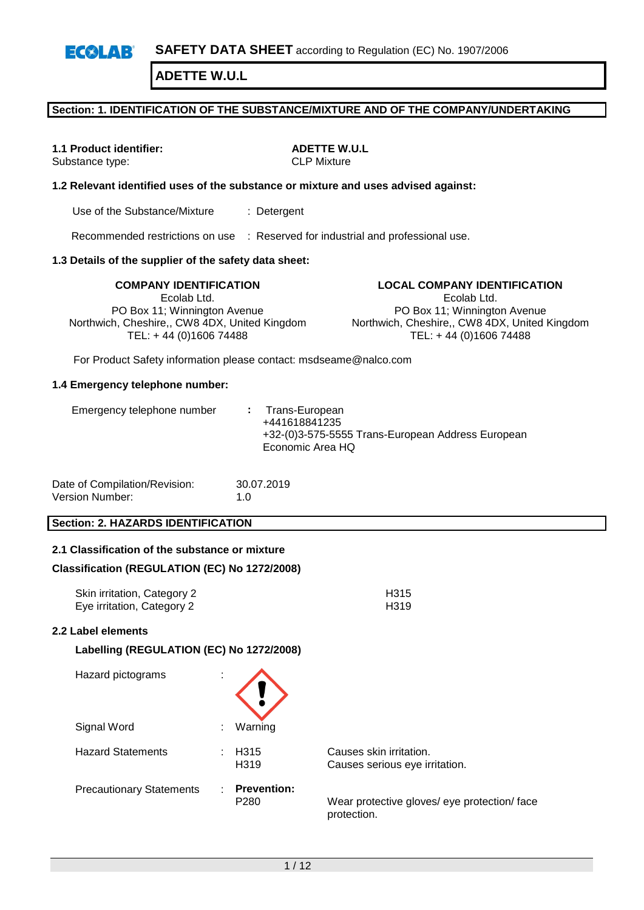**SAFETY DATA SHEET** according to Regulation (EC) No. 1907/2006  $E(X|A)$ 

**ADETTE W.U.L**

## **Section: 1. IDENTIFICATION OF THE SUBSTANCE/MIXTURE AND OF THE COMPANY/UNDERTAKING**

Substance type:

**1.1 Product identifier: ADETTE W.U.L**<br>Substance type: **ADETTE W.U.L**<br>CLP Mixture

#### **1.2 Relevant identified uses of the substance or mixture and uses advised against:**

Use of the Substance/Mixture : Detergent

Recommended restrictions on use : Reserved for industrial and professional use.

#### **1.3 Details of the supplier of the safety data sheet:**

Ecolab Ltd. PO Box 11; Winnington Avenue Northwich, Cheshire,, CW8 4DX, United Kingdom TEL: + 44 (0)1606 74488

**COMPANY IDENTIFICATION LOCAL COMPANY IDENTIFICATION** Ecolab Ltd. PO Box 11; Winnington Avenue Northwich, Cheshire,, CW8 4DX, United Kingdom TEL: + 44 (0)1606 74488

For Product Safety information please contact: msdseame@nalco.com

#### **1.4 Emergency telephone number:**

| Emergency telephone number |  | : Trans-European<br>+441618841235<br>+32-(0)3-575-5555 Trans-European Address European<br>Economic Area HQ |
|----------------------------|--|------------------------------------------------------------------------------------------------------------|
|----------------------------|--|------------------------------------------------------------------------------------------------------------|

| Date of Compilation/Revision: | 30.07.2019  |
|-------------------------------|-------------|
| Version Number:               | 1. $\Omega$ |

## **Section: 2. HAZARDS IDENTIFICATION**

## **2.1 Classification of the substance or mixture**

#### **Classification (REGULATION (EC) No 1272/2008)**

| Skin irritation, Category 2 | H <sub>315</sub> |
|-----------------------------|------------------|
| Eye irritation, Category 2  | H319             |

#### **2.2 Label elements**

| Hazard pictograms               | ÷ |                                        |                                                             |
|---------------------------------|---|----------------------------------------|-------------------------------------------------------------|
| Signal Word                     |   | Warning                                |                                                             |
| <b>Hazard Statements</b>        |   | H <sub>315</sub><br>H <sub>3</sub> 19  | Causes skin irritation.<br>Causes serious eye irritation.   |
| <b>Precautionary Statements</b> |   | <b>Prevention:</b><br>P <sub>280</sub> | Wear protective gloves/ eye protection/ face<br>protection. |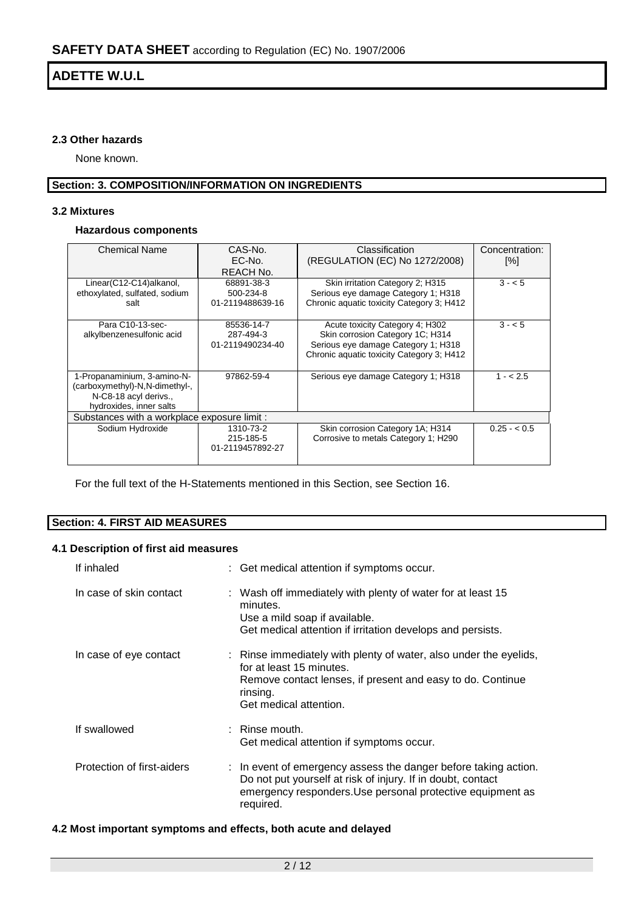## **2.3 Other hazards**

None known.

# **Section: 3. COMPOSITION/INFORMATION ON INGREDIENTS**

## **3.2 Mixtures**

## **Hazardous components**

| <b>Chemical Name</b>                                                                                              | CAS-No.<br>EC-No.<br>REACH No.              | Classification<br>(REGULATION (EC) No 1272/2008)                                                                                                        | Concentration:<br>[%] |  |  |  |
|-------------------------------------------------------------------------------------------------------------------|---------------------------------------------|---------------------------------------------------------------------------------------------------------------------------------------------------------|-----------------------|--|--|--|
| Linear(C12-C14)alkanol,<br>ethoxylated, sulfated, sodium<br>salt                                                  | 68891-38-3<br>500-234-8<br>01-2119488639-16 | Skin irritation Category 2; H315<br>Serious eye damage Category 1; H318<br>Chronic aquatic toxicity Category 3; H412                                    | $3 - 5$               |  |  |  |
| Para C10-13-sec-<br>alkylbenzenesulfonic acid                                                                     | 85536-14-7<br>287-494-3<br>01-2119490234-40 | Acute toxicity Category 4; H302<br>Skin corrosion Category 1C; H314<br>Serious eye damage Category 1; H318<br>Chronic aquatic toxicity Category 3: H412 | $3 - 5$               |  |  |  |
| 1-Propanaminium, 3-amino-N-<br>(carboxymethyl)-N,N-dimethyl-,<br>N-C8-18 acyl derivs.,<br>hydroxides, inner salts | 97862-59-4                                  | Serious eye damage Category 1; H318                                                                                                                     | $1 - 2.5$             |  |  |  |
| Substances with a workplace exposure limit :                                                                      |                                             |                                                                                                                                                         |                       |  |  |  |
| Sodium Hydroxide                                                                                                  | 1310-73-2<br>215-185-5<br>01-2119457892-27  | Skin corrosion Category 1A; H314<br>Corrosive to metals Category 1; H290                                                                                | $0.25 - 0.5$          |  |  |  |

For the full text of the H-Statements mentioned in this Section, see Section 16.

## **Section: 4. FIRST AID MEASURES**

### **4.1 Description of first aid measures**

| If inhaled                 | : Get medical attention if symptoms occur.                                                                                                                                                                |
|----------------------------|-----------------------------------------------------------------------------------------------------------------------------------------------------------------------------------------------------------|
| In case of skin contact    | : Wash off immediately with plenty of water for at least 15<br>minutes.<br>Use a mild soap if available.<br>Get medical attention if irritation develops and persists.                                    |
| In case of eye contact     | : Rinse immediately with plenty of water, also under the eyelids,<br>for at least 15 minutes.<br>Remove contact lenses, if present and easy to do. Continue<br>rinsing.<br>Get medical attention.         |
| If swallowed               | $\therefore$ Rinse mouth.<br>Get medical attention if symptoms occur.                                                                                                                                     |
| Protection of first-aiders | : In event of emergency assess the danger before taking action.<br>Do not put yourself at risk of injury. If in doubt, contact<br>emergency responders. Use personal protective equipment as<br>required. |

## **4.2 Most important symptoms and effects, both acute and delayed**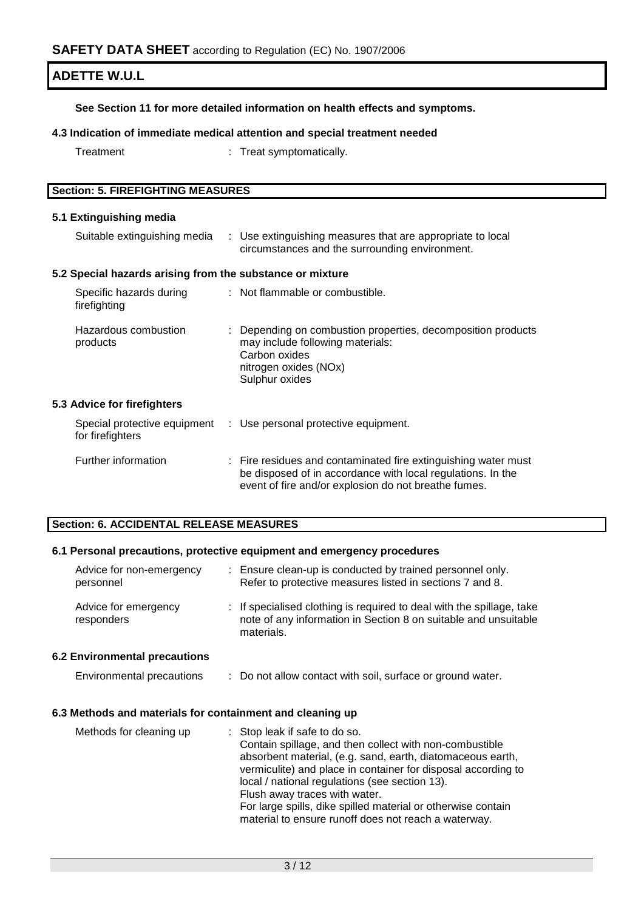## **See Section 11 for more detailed information on health effects and symptoms.**

## **4.3 Indication of immediate medical attention and special treatment needed**

Treatment : Treat symptomatically.

| <b>Section: 5. FIREFIGHTING MEASURES</b> |  |
|------------------------------------------|--|

### **5.1 Extinguishing media**

| Suitable extinguishing media                              | : Use extinguishing measures that are appropriate to local<br>circumstances and the surrounding environment.                                                                          |
|-----------------------------------------------------------|---------------------------------------------------------------------------------------------------------------------------------------------------------------------------------------|
| 5.2 Special hazards arising from the substance or mixture |                                                                                                                                                                                       |
| Specific hazards during<br>firefighting                   | : Not flammable or combustible.                                                                                                                                                       |
| Hazardous combustion<br>products                          | : Depending on combustion properties, decomposition products<br>may include following materials:<br>Carbon oxides<br>nitrogen oxides (NOx)<br>Sulphur oxides                          |
| 5.3 Advice for firefighters                               |                                                                                                                                                                                       |
| for firefighters                                          | Special protective equipment : Use personal protective equipment.                                                                                                                     |
| Further information                                       | : Fire residues and contaminated fire extinguishing water must<br>be disposed of in accordance with local regulations. In the<br>event of fire and/or explosion do not breathe fumes. |

## **Section: 6. ACCIDENTAL RELEASE MEASURES**

## **6.1 Personal precautions, protective equipment and emergency procedures**

| Advice for non-emergency<br>personnel | ÷. | Ensure clean-up is conducted by trained personnel only.<br>Refer to protective measures listed in sections 7 and 8.                                    |
|---------------------------------------|----|--------------------------------------------------------------------------------------------------------------------------------------------------------|
| Advice for emergency<br>responders    |    | : If specialised clothing is required to deal with the spillage, take<br>note of any information in Section 8 on suitable and unsuitable<br>materials. |
| <b>6.2 Environmental precautions</b>  |    |                                                                                                                                                        |
| Environmental precautions             |    | : Do not allow contact with soil, surface or ground water.                                                                                             |

#### **6.3 Methods and materials for containment and cleaning up**

| Methods for cleaning up | : Stop leak if safe to do so.                                 |
|-------------------------|---------------------------------------------------------------|
|                         | Contain spillage, and then collect with non-combustible       |
|                         | absorbent material, (e.g. sand, earth, diatomaceous earth,    |
|                         | vermiculite) and place in container for disposal according to |
|                         | local / national regulations (see section 13).                |
|                         | Flush away traces with water.                                 |
|                         | For large spills, dike spilled material or otherwise contain  |
|                         | material to ensure runoff does not reach a waterway.          |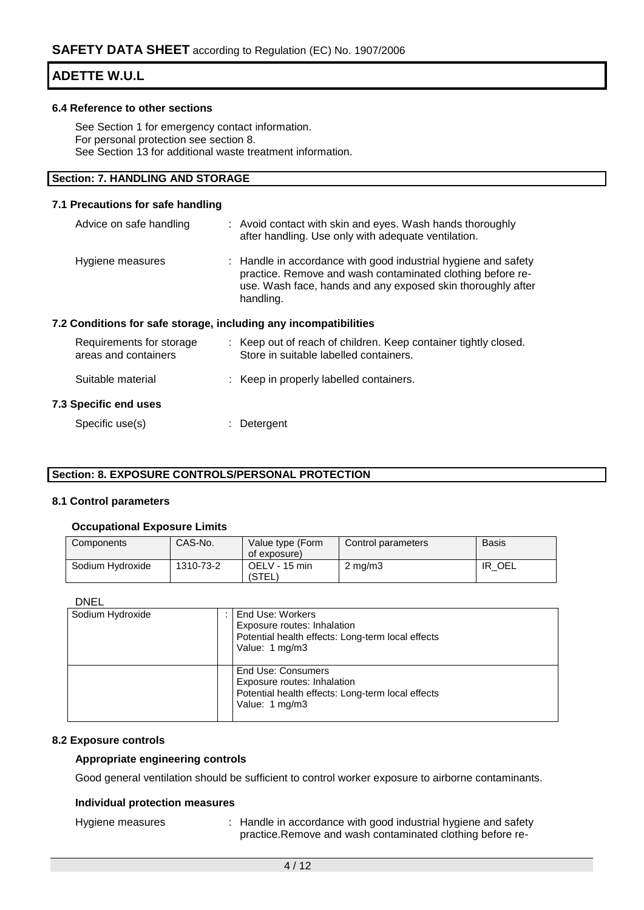#### **6.4 Reference to other sections**

See Section 1 for emergency contact information. For personal protection see section 8. See Section 13 for additional waste treatment information.

## **Section: 7. HANDLING AND STORAGE**

#### **7.1 Precautions for safe handling**

| Advice on safe handling                                          | : Avoid contact with skin and eyes. Wash hands thoroughly<br>after handling. Use only with adequate ventilation.                                                                                         |
|------------------------------------------------------------------|----------------------------------------------------------------------------------------------------------------------------------------------------------------------------------------------------------|
| Hygiene measures                                                 | : Handle in accordance with good industrial hygiene and safety<br>practice. Remove and wash contaminated clothing before re-<br>use. Wash face, hands and any exposed skin thoroughly after<br>handling. |
| 7.2 Conditions for safe storage, including any incompatibilities |                                                                                                                                                                                                          |
| Requirements for storage<br>areas and containers                 | : Keep out of reach of children. Keep container tightly closed.<br>Store in suitable labelled containers.                                                                                                |
| Suitable material                                                | : Keep in properly labelled containers.                                                                                                                                                                  |

### **7.3 Specific end uses**

Specific use(s)  $\qquad \qquad$ : Detergent

## **Section: 8. EXPOSURE CONTROLS/PERSONAL PROTECTION**

#### **8.1 Control parameters**

#### **Occupational Exposure Limits**

| Components       | CAS-No.   | Value type (Form<br>of exposure) | Control parameters | <b>Basis</b> |
|------------------|-----------|----------------------------------|--------------------|--------------|
| Sodium Hydroxide | 1310-73-2 | OELV - 15 min<br>(STEL)          | $2 \text{ mg/m}$   | OEL<br>IR    |

DNEL

| Sodium Hydroxide | End Use: Workers<br>Exposure routes: Inhalation<br>Potential health effects: Long-term local effects<br>Value: 1 mg/m3   |
|------------------|--------------------------------------------------------------------------------------------------------------------------|
|                  | End Use: Consumers<br>Exposure routes: Inhalation<br>Potential health effects: Long-term local effects<br>Value: 1 mg/m3 |

#### **8.2 Exposure controls**

#### **Appropriate engineering controls**

Good general ventilation should be sufficient to control worker exposure to airborne contaminants.

## **Individual protection measures**

Hygiene measures : Handle in accordance with good industrial hygiene and safety practice.Remove and wash contaminated clothing before re-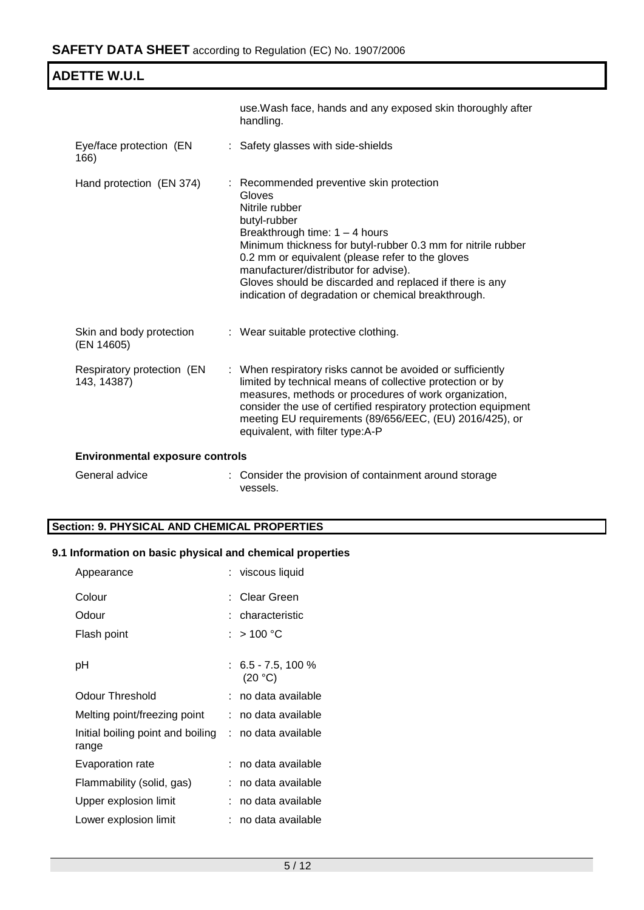| <b>ADETTE W.U.L</b>                       |                                                                                                                                                                                                                                                                                                                                                                                                         |  |
|-------------------------------------------|---------------------------------------------------------------------------------------------------------------------------------------------------------------------------------------------------------------------------------------------------------------------------------------------------------------------------------------------------------------------------------------------------------|--|
|                                           | use. Wash face, hands and any exposed skin thoroughly after<br>handling.                                                                                                                                                                                                                                                                                                                                |  |
| Eye/face protection (EN<br>166)           | : Safety glasses with side-shields                                                                                                                                                                                                                                                                                                                                                                      |  |
| Hand protection (EN 374)                  | : Recommended preventive skin protection<br>Gloves<br>Nitrile rubber<br>butyl-rubber<br>Breakthrough time: $1 - 4$ hours<br>Minimum thickness for butyl-rubber 0.3 mm for nitrile rubber<br>0.2 mm or equivalent (please refer to the gloves<br>manufacturer/distributor for advise).<br>Gloves should be discarded and replaced if there is any<br>indication of degradation or chemical breakthrough. |  |
| Skin and body protection<br>(EN 14605)    | : Wear suitable protective clothing.                                                                                                                                                                                                                                                                                                                                                                    |  |
| Respiratory protection (EN<br>143, 14387) | : When respiratory risks cannot be avoided or sufficiently<br>limited by technical means of collective protection or by<br>measures, methods or procedures of work organization,<br>consider the use of certified respiratory protection equipment<br>meeting EU requirements (89/656/EEC, (EU) 2016/425), or<br>equivalent, with filter type:A-P                                                       |  |
| <b>Environmental exposure controls</b>    |                                                                                                                                                                                                                                                                                                                                                                                                         |  |
| General advice                            | : Consider the provision of containment around storage<br>vessels.                                                                                                                                                                                                                                                                                                                                      |  |

## **Section: 9. PHYSICAL AND CHEMICAL PROPERTIES**

# **9.1 Information on basic physical and chemical properties**

| Appearance                                                     | : viscous liquid                 |
|----------------------------------------------------------------|----------------------------------|
| Colour                                                         | : Clear Green                    |
| Odour                                                          | : characteristic                 |
| Flash point                                                    | : $>$ 100 °C                     |
| рH                                                             | $: 6.5 - 7.5, 100 \%$<br>(20 °C) |
| Odour Threshold                                                | : no data available              |
| Melting point/freezing point                                   | no data available                |
| Initial boiling point and boiling : no data available<br>range |                                  |
| Evaporation rate                                               | ∶no data available               |
| Flammability (solid, gas)                                      | no data available                |
| Upper explosion limit                                          | no data available                |
| Lower explosion limit                                          | no data available                |
|                                                                |                                  |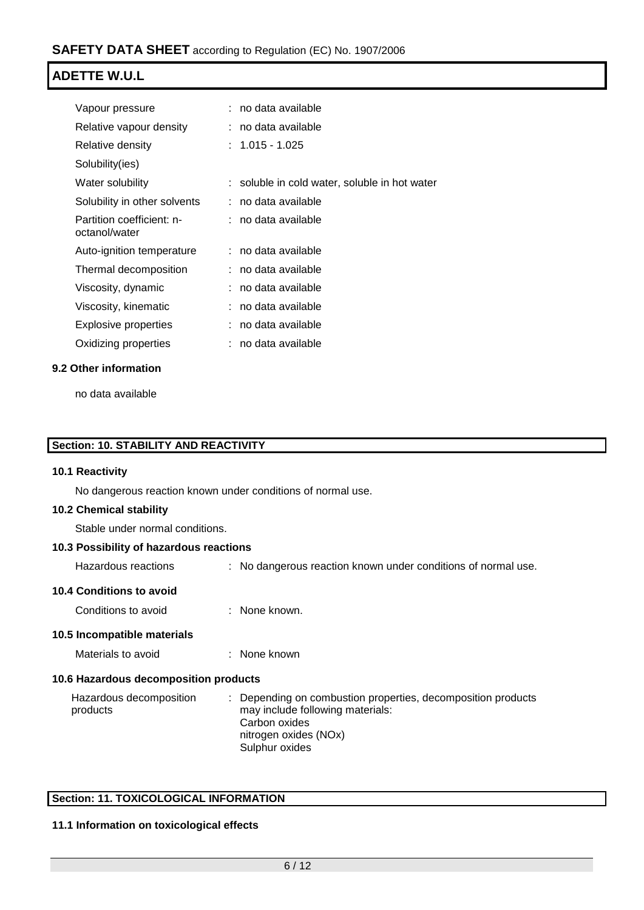| Vapour pressure                            | no data available                             |
|--------------------------------------------|-----------------------------------------------|
| Relative vapour density                    | : no data available                           |
| Relative density                           | : 1.015 - 1.025                               |
| Solubility(ies)                            |                                               |
| Water solubility                           | : soluble in cold water, soluble in hot water |
| Solubility in other solvents               | : no data available                           |
| Partition coefficient: n-<br>octanol/water | : no data available                           |
| Auto-ignition temperature                  | : no data available                           |
| Thermal decomposition                      | : no data available                           |
| Viscosity, dynamic                         | : no data available                           |
| Viscosity, kinematic                       | : no data available                           |
| Explosive properties                       | no data available                             |
| Oxidizing properties                       | no data available                             |
|                                            |                                               |

## **9.2 Other information**

no data available

## **Section: 10. STABILITY AND REACTIVITY**

### **10.1 Reactivity**

No dangerous reaction known under conditions of normal use.

## **10.2 Chemical stability**

Stable under normal conditions.

## **10.3 Possibility of hazardous reactions**

Hazardous reactions : No dangerous reaction known under conditions of normal use.

### **10.4 Conditions to avoid**

Conditions to avoid : None known.

#### **10.5 Incompatible materials**

Materials to avoid : None known

#### **10.6 Hazardous decomposition products**

| Hazardous decomposition | : Depending on combustion properties, decomposition products |
|-------------------------|--------------------------------------------------------------|
| products                | may include following materials:                             |
|                         | Carbon oxides                                                |
|                         | nitrogen oxides (NOx)                                        |
|                         | Sulphur oxides                                               |

## **Section: 11. TOXICOLOGICAL INFORMATION**

## **11.1 Information on toxicological effects**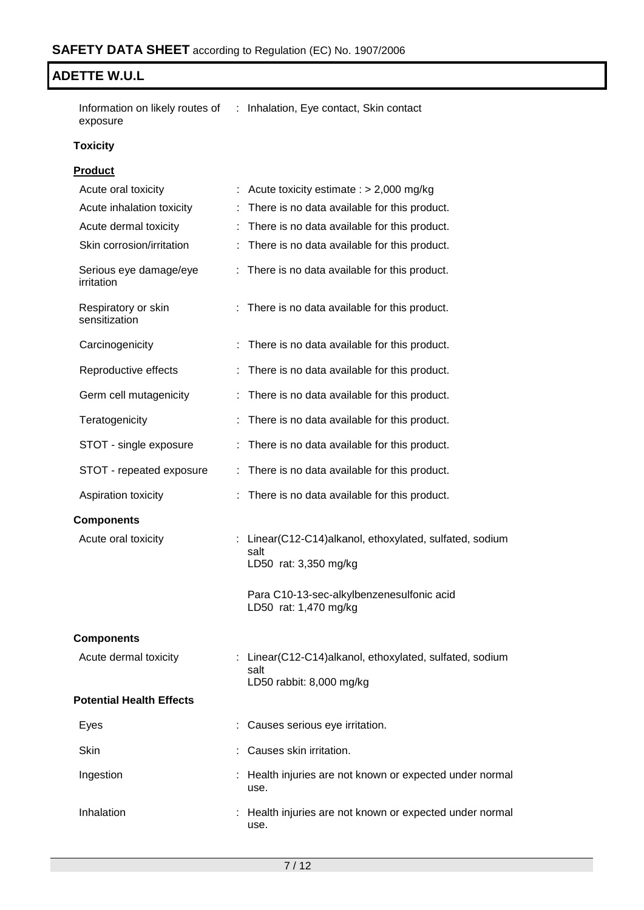Information on likely routes of : Inhalation, Eye contact, Skin contact exposure

## **Toxicity**

## **Product**

| Acute oral toxicity                  | Acute toxicity estimate : $> 2,000$ mg/kg                                                   |
|--------------------------------------|---------------------------------------------------------------------------------------------|
| Acute inhalation toxicity            | There is no data available for this product.                                                |
| Acute dermal toxicity                | : There is no data available for this product.                                              |
| Skin corrosion/irritation            | There is no data available for this product.                                                |
| Serious eye damage/eye<br>irritation | : There is no data available for this product.                                              |
| Respiratory or skin<br>sensitization | : There is no data available for this product.                                              |
| Carcinogenicity                      | There is no data available for this product.                                                |
| Reproductive effects                 | There is no data available for this product.                                                |
| Germ cell mutagenicity               | There is no data available for this product.                                                |
| Teratogenicity                       | There is no data available for this product.                                                |
| STOT - single exposure               | There is no data available for this product.                                                |
| STOT - repeated exposure             | There is no data available for this product.                                                |
| Aspiration toxicity                  | There is no data available for this product.                                                |
| <b>Components</b>                    |                                                                                             |
| Acute oral toxicity                  | : Linear(C12-C14)alkanol, ethoxylated, sulfated, sodium<br>salt<br>LD50 rat: 3,350 mg/kg    |
|                                      | Para C10-13-sec-alkylbenzenesulfonic acid<br>LD50 rat: 1,470 mg/kg                          |
| <b>Components</b>                    |                                                                                             |
| Acute dermal toxicity                | : Linear(C12-C14)alkanol, ethoxylated, sulfated, sodium<br>salt<br>LD50 rabbit: 8,000 mg/kg |
| <b>Potential Health Effects</b>      |                                                                                             |
| Eyes                                 | Causes serious eye irritation.                                                              |
| <b>Skin</b>                          | Causes skin irritation.                                                                     |
| Ingestion                            | Health injuries are not known or expected under normal<br>use.                              |
| Inhalation                           | : Health injuries are not known or expected under normal<br>use.                            |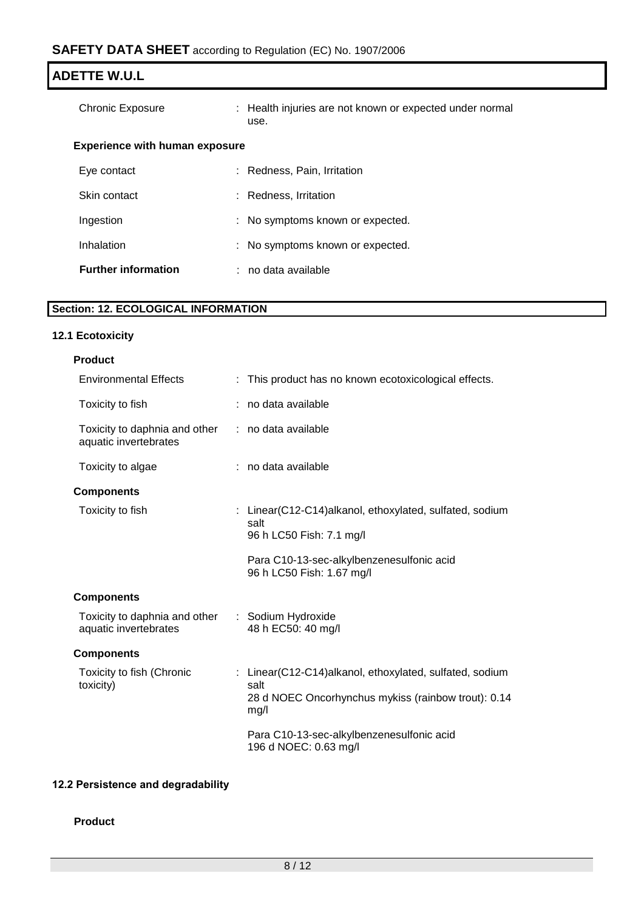| <b>ADETTE W.U.L</b>                   |                                                                  |  |
|---------------------------------------|------------------------------------------------------------------|--|
| <b>Chronic Exposure</b>               | : Health injuries are not known or expected under normal<br>use. |  |
| <b>Experience with human exposure</b> |                                                                  |  |
| Eye contact                           | : Redness, Pain, Irritation                                      |  |
| Skin contact                          | : Redness, Irritation                                            |  |
| Ingestion                             | : No symptoms known or expected.                                 |  |
| Inhalation                            | : No symptoms known or expected.                                 |  |
| <b>Further information</b>            | : no data available                                              |  |

# **Section: 12. ECOLOGICAL INFORMATION**

# **12.1 Ecotoxicity**

| <b>Product</b>                                         |                                                                                                                                |
|--------------------------------------------------------|--------------------------------------------------------------------------------------------------------------------------------|
| <b>Environmental Effects</b>                           | : This product has no known ecotoxicological effects.                                                                          |
| Toxicity to fish                                       | no data available                                                                                                              |
| Toxicity to daphnia and other<br>aquatic invertebrates | : no data available                                                                                                            |
| Toxicity to algae                                      | : no data available                                                                                                            |
| <b>Components</b>                                      |                                                                                                                                |
| Toxicity to fish                                       | : Linear(C12-C14)alkanol, ethoxylated, sulfated, sodium<br>salt<br>96 h LC50 Fish: 7.1 mg/l                                    |
|                                                        | Para C10-13-sec-alkylbenzenesulfonic acid<br>96 h LC50 Fish: 1.67 mg/l                                                         |
| <b>Components</b>                                      |                                                                                                                                |
| Toxicity to daphnia and other<br>aquatic invertebrates | : Sodium Hydroxide<br>48 h EC50: 40 mg/l                                                                                       |
| <b>Components</b>                                      |                                                                                                                                |
| Toxicity to fish (Chronic<br>toxicity)                 | : Linear(C12-C14)alkanol, ethoxylated, sulfated, sodium<br>salt<br>28 d NOEC Oncorhynchus mykiss (rainbow trout): 0.14<br>mg/l |
|                                                        | Para C10-13-sec-alkylbenzenesulfonic acid<br>196 d NOEC: 0.63 mg/l                                                             |

# **12.2 Persistence and degradability**

**Product**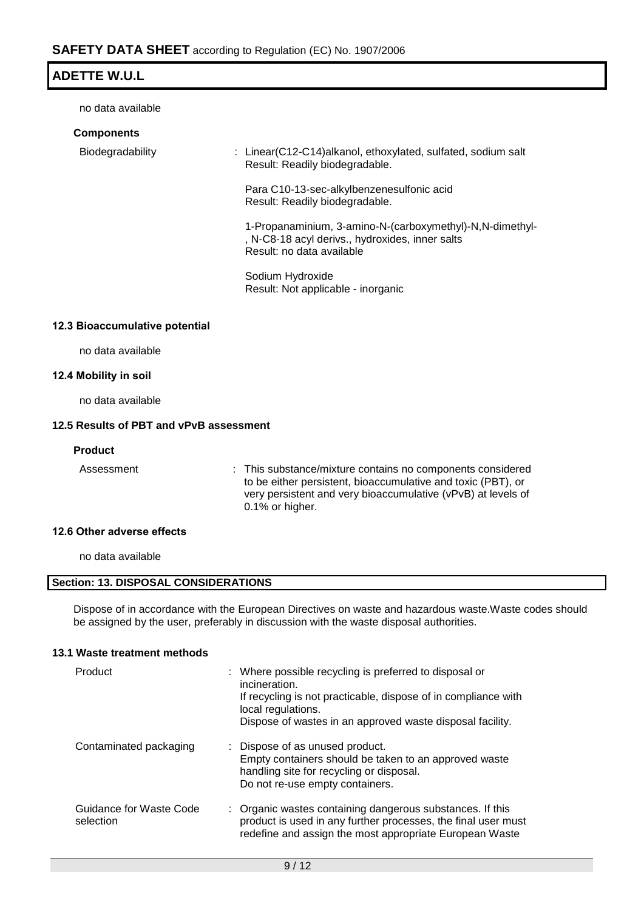no data available

| <b>Components</b> |                                                                                                                                           |
|-------------------|-------------------------------------------------------------------------------------------------------------------------------------------|
| Biodegradability  | : Linear(C12-C14)alkanol, ethoxylated, sulfated, sodium salt<br>Result: Readily biodegradable.                                            |
|                   | Para C10-13-sec-alkylbenzenesulfonic acid<br>Result: Readily biodegradable.                                                               |
|                   | 1-Propanaminium, 3-amino-N-(carboxymethyl)-N, N-dimethyl-<br>, N-C8-18 acyl derivs., hydroxides, inner salts<br>Result: no data available |
|                   | Sodium Hydroxide<br>Result: Not applicable - inorganic                                                                                    |

## **12.3 Bioaccumulative potential**

no data available

#### **12.4 Mobility in soil**

no data available

## **12.5 Results of PBT and vPvB assessment**

## **Product**

Assessment : This substance/mixture contains no components considered to be either persistent, bioaccumulative and toxic (PBT), or very persistent and very bioaccumulative (vPvB) at levels of 0.1% or higher.

## **12.6 Other adverse effects**

no data available

## **Section: 13. DISPOSAL CONSIDERATIONS**

Dispose of in accordance with the European Directives on waste and hazardous waste.Waste codes should be assigned by the user, preferably in discussion with the waste disposal authorities.

## **13.1 Waste treatment methods**

| Product                              | : Where possible recycling is preferred to disposal or<br>incineration.<br>If recycling is not practicable, dispose of in compliance with<br>local regulations.<br>Dispose of wastes in an approved waste disposal facility. |
|--------------------------------------|------------------------------------------------------------------------------------------------------------------------------------------------------------------------------------------------------------------------------|
| Contaminated packaging               | : Dispose of as unused product.<br>Empty containers should be taken to an approved waste<br>handling site for recycling or disposal.<br>Do not re-use empty containers.                                                      |
| Guidance for Waste Code<br>selection | : Organic wastes containing dangerous substances. If this<br>product is used in any further processes, the final user must<br>redefine and assign the most appropriate European Waste                                        |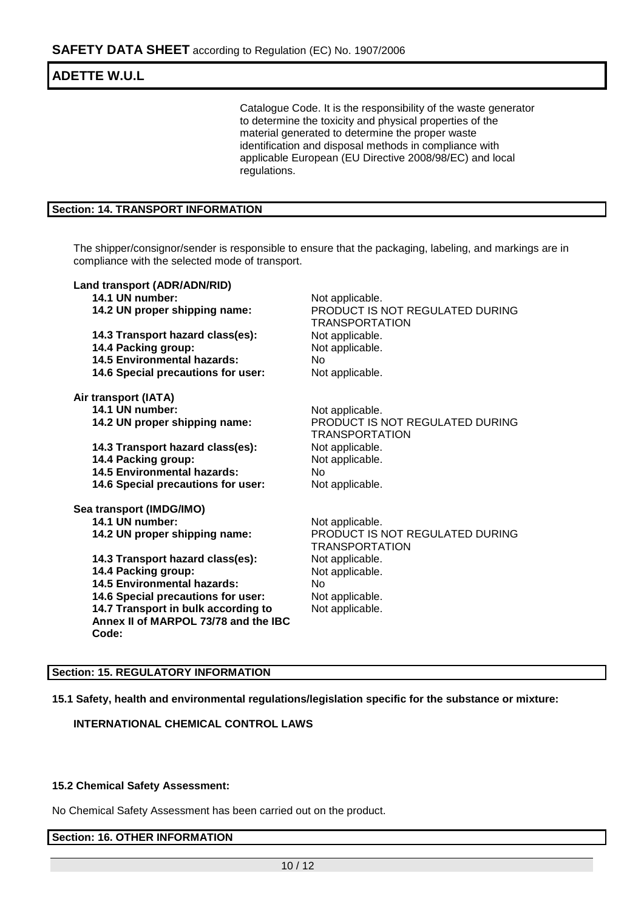Catalogue Code. It is the responsibility of the waste generator to determine the toxicity and physical properties of the material generated to determine the proper waste identification and disposal methods in compliance with applicable European (EU Directive 2008/98/EC) and local regulations.

## **Section: 14. TRANSPORT INFORMATION**

The shipper/consignor/sender is responsible to ensure that the packaging, labeling, and markings are in compliance with the selected mode of transport.

| Land transport (ADR/ADN/RID)         |                                                          |
|--------------------------------------|----------------------------------------------------------|
| 14.1 UN number:                      | Not applicable.                                          |
| 14.2 UN proper shipping name:        | PRODUCT IS NOT REGULATED DURING<br><b>TRANSPORTATION</b> |
| 14.3 Transport hazard class(es):     | Not applicable.                                          |
| 14.4 Packing group:                  | Not applicable.                                          |
| <b>14.5 Environmental hazards:</b>   | No.                                                      |
| 14.6 Special precautions for user:   | Not applicable.                                          |
| Air transport (IATA)                 |                                                          |
| 14.1 UN number:                      | Not applicable.                                          |
| 14.2 UN proper shipping name:        | PRODUCT IS NOT REGULATED DURING<br><b>TRANSPORTATION</b> |
| 14.3 Transport hazard class(es):     | Not applicable.                                          |
| 14.4 Packing group:                  | Not applicable.                                          |
| <b>14.5 Environmental hazards:</b>   | No.                                                      |
| 14.6 Special precautions for user:   | Not applicable.                                          |
| Sea transport (IMDG/IMO)             |                                                          |
| 14.1 UN number:                      | Not applicable.                                          |
| 14.2 UN proper shipping name:        | PRODUCT IS NOT REGULATED DURING<br><b>TRANSPORTATION</b> |
| 14.3 Transport hazard class(es):     | Not applicable.                                          |
| 14.4 Packing group:                  | Not applicable.                                          |
| <b>14.5 Environmental hazards:</b>   | No.                                                      |
| 14.6 Special precautions for user:   | Not applicable.                                          |
| 14.7 Transport in bulk according to  | Not applicable.                                          |
| Annex II of MARPOL 73/78 and the IBC |                                                          |
| Code:                                |                                                          |

#### **Section: 15. REGULATORY INFORMATION**

**15.1 Safety, health and environmental regulations/legislation specific for the substance or mixture:**

**INTERNATIONAL CHEMICAL CONTROL LAWS**

## **15.2 Chemical Safety Assessment:**

No Chemical Safety Assessment has been carried out on the product.

**Section: 16. OTHER INFORMATION**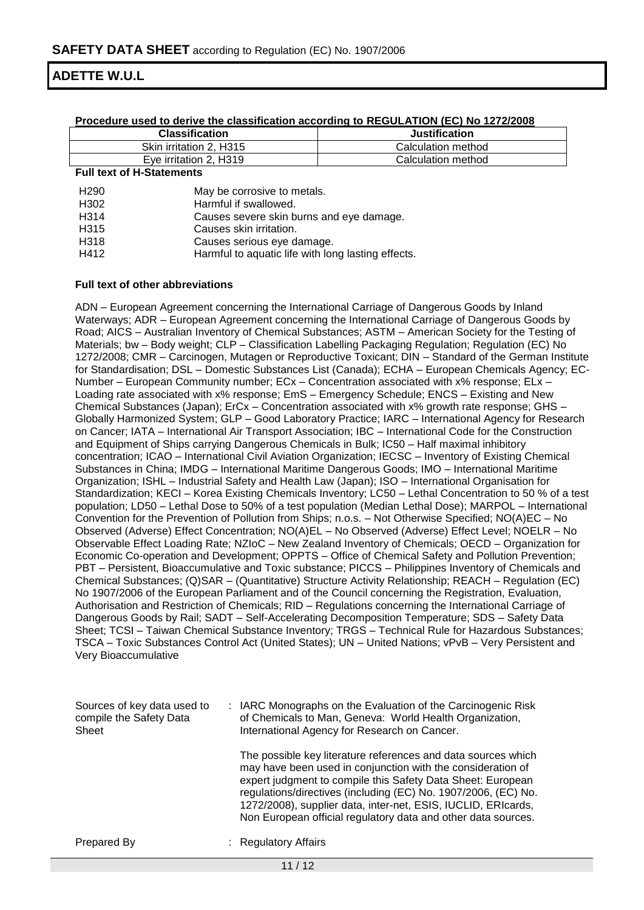| The country the chock in the community and containing to the colemn that the telephone |                      |  |  |  |
|----------------------------------------------------------------------------------------|----------------------|--|--|--|
| <b>Classification</b>                                                                  | <b>Justification</b> |  |  |  |
| Skin irritation 2. H315                                                                | Calculation method   |  |  |  |
| Eye irritation 2, H319                                                                 | Calculation method   |  |  |  |
| Euli tayt of U. Clatemanta                                                             |                      |  |  |  |

#### **Procedure used to derive the classification according to REGULATION (EC) No 1272/2008**

#### **Full text of H-Statements**

| H <sub>290</sub>  | May be corrosive to metals.                        |
|-------------------|----------------------------------------------------|
| H302              | Harmful if swallowed.                              |
| H <sub>3</sub> 14 | Causes severe skin burns and eye damage.           |
| H315              | Causes skin irritation.                            |
| H318              | Causes serious eye damage.                         |
| H412              | Harmful to aquatic life with long lasting effects. |

#### **Full text of other abbreviations**

ADN – European Agreement concerning the International Carriage of Dangerous Goods by Inland Waterways; ADR – European Agreement concerning the International Carriage of Dangerous Goods by Road; AICS – Australian Inventory of Chemical Substances; ASTM – American Society for the Testing of Materials; bw - Body weight; CLP - Classification Labelling Packaging Regulation; Regulation (EC) No 1272/2008; CMR – Carcinogen, Mutagen or Reproductive Toxicant; DIN – Standard of the German Institute for Standardisation; DSL – Domestic Substances List (Canada); ECHA – European Chemicals Agency; EC-Number – European Community number; ECx – Concentration associated with x% response; ELx – Loading rate associated with x% response; EmS – Emergency Schedule; ENCS – Existing and New Chemical Substances (Japan); ErCx – Concentration associated with x% growth rate response; GHS – Globally Harmonized System; GLP – Good Laboratory Practice; IARC – International Agency for Research on Cancer; IATA – International Air Transport Association; IBC – International Code for the Construction and Equipment of Ships carrying Dangerous Chemicals in Bulk; IC50 – Half maximal inhibitory concentration; ICAO – International Civil Aviation Organization; IECSC – Inventory of Existing Chemical Substances in China; IMDG – International Maritime Dangerous Goods; IMO – International Maritime Organization; ISHL – Industrial Safety and Health Law (Japan); ISO – International Organisation for Standardization; KECI – Korea Existing Chemicals Inventory; LC50 – Lethal Concentration to 50 % of a test population; LD50 – Lethal Dose to 50% of a test population (Median Lethal Dose); MARPOL – International Convention for the Prevention of Pollution from Ships; n.o.s. – Not Otherwise Specified; NO(A)EC – No Observed (Adverse) Effect Concentration; NO(A)EL – No Observed (Adverse) Effect Level; NOELR – No Observable Effect Loading Rate; NZIoC – New Zealand Inventory of Chemicals; OECD – Organization for Economic Co-operation and Development; OPPTS – Office of Chemical Safety and Pollution Prevention; PBT – Persistent, Bioaccumulative and Toxic substance; PICCS – Philippines Inventory of Chemicals and Chemical Substances; (Q)SAR – (Quantitative) Structure Activity Relationship; REACH – Regulation (EC) No 1907/2006 of the European Parliament and of the Council concerning the Registration, Evaluation, Authorisation and Restriction of Chemicals; RID – Regulations concerning the International Carriage of Dangerous Goods by Rail; SADT – Self-Accelerating Decomposition Temperature; SDS – Safety Data Sheet; TCSI – Taiwan Chemical Substance Inventory; TRGS – Technical Rule for Hazardous Substances; TSCA – Toxic Substances Control Act (United States); UN – United Nations; vPvB – Very Persistent and Very Bioaccumulative

| Sources of key data used to<br>compile the Safety Data<br>Sheet | : IARC Monographs on the Evaluation of the Carcinogenic Risk<br>of Chemicals to Man, Geneva: World Health Organization,<br>International Agency for Research on Cancer.                                                                                                                                                                                                                         |
|-----------------------------------------------------------------|-------------------------------------------------------------------------------------------------------------------------------------------------------------------------------------------------------------------------------------------------------------------------------------------------------------------------------------------------------------------------------------------------|
|                                                                 | The possible key literature references and data sources which<br>may have been used in conjunction with the consideration of<br>expert judgment to compile this Safety Data Sheet: European<br>regulations/directives (including (EC) No. 1907/2006, (EC) No.<br>1272/2008), supplier data, inter-net, ESIS, IUCLID, ERIcards,<br>Non European official regulatory data and other data sources. |
| Prepared By                                                     | : Regulatory Affairs                                                                                                                                                                                                                                                                                                                                                                            |